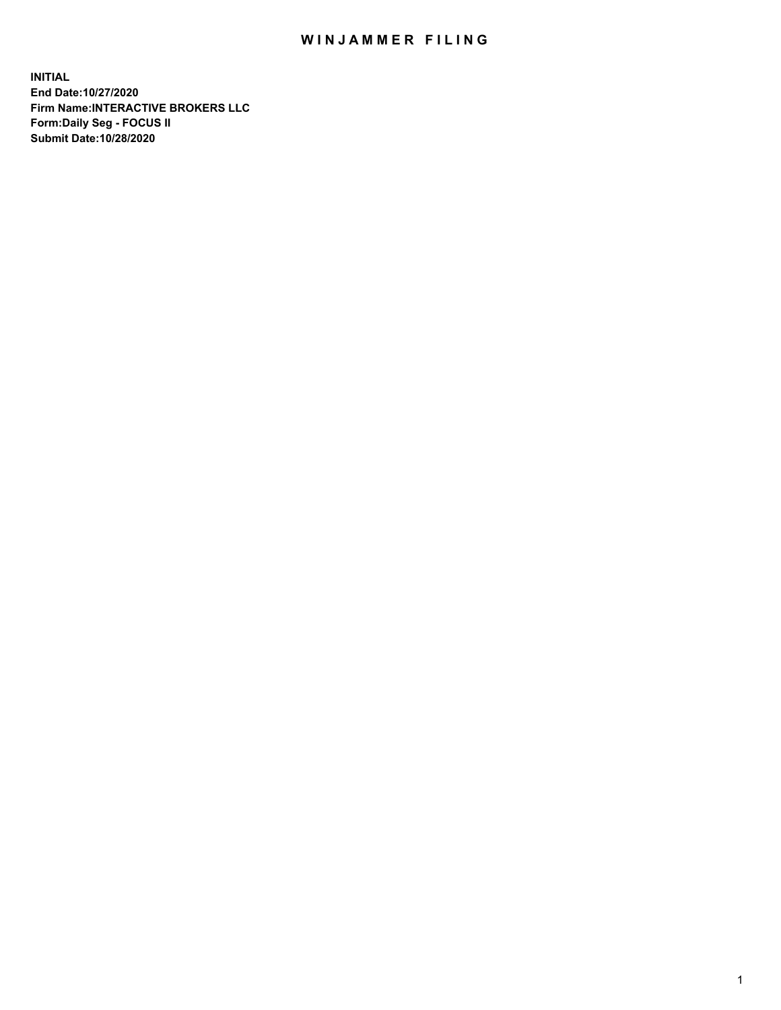## WIN JAMMER FILING

**INITIAL End Date:10/27/2020 Firm Name:INTERACTIVE BROKERS LLC Form:Daily Seg - FOCUS II Submit Date:10/28/2020**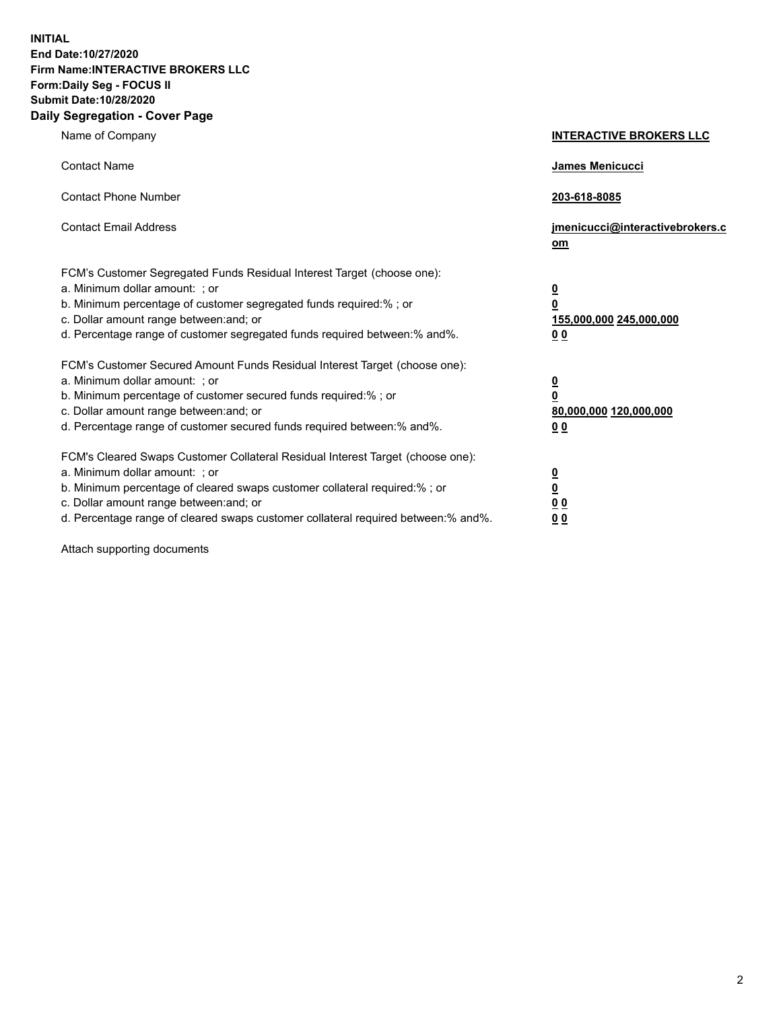**INITIAL End Date:10/27/2020 Firm Name:INTERACTIVE BROKERS LLC Form:Daily Seg - FOCUS II Submit Date:10/28/2020 Daily Segregation - Cover Page**

| Name of Company                                                                                                                                                                                                                                                                                                                | <b>INTERACTIVE BROKERS LLC</b>                                                  |  |
|--------------------------------------------------------------------------------------------------------------------------------------------------------------------------------------------------------------------------------------------------------------------------------------------------------------------------------|---------------------------------------------------------------------------------|--|
| <b>Contact Name</b>                                                                                                                                                                                                                                                                                                            | James Menicucci                                                                 |  |
| <b>Contact Phone Number</b>                                                                                                                                                                                                                                                                                                    | 203-618-8085                                                                    |  |
| <b>Contact Email Address</b>                                                                                                                                                                                                                                                                                                   | jmenicucci@interactivebrokers.c<br>om                                           |  |
| FCM's Customer Segregated Funds Residual Interest Target (choose one):<br>a. Minimum dollar amount: ; or<br>b. Minimum percentage of customer segregated funds required:%; or<br>c. Dollar amount range between: and; or<br>d. Percentage range of customer segregated funds required between:% and%.                          | <u>0</u><br>$\overline{\mathbf{0}}$<br>155,000,000 245,000,000<br><u>00</u>     |  |
| FCM's Customer Secured Amount Funds Residual Interest Target (choose one):<br>a. Minimum dollar amount: ; or<br>b. Minimum percentage of customer secured funds required:% ; or<br>c. Dollar amount range between: and; or<br>d. Percentage range of customer secured funds required between:% and%.                           | <u>0</u><br>$\overline{\mathbf{0}}$<br>80,000,000 120,000,000<br>0 <sub>0</sub> |  |
| FCM's Cleared Swaps Customer Collateral Residual Interest Target (choose one):<br>a. Minimum dollar amount: ; or<br>b. Minimum percentage of cleared swaps customer collateral required:% ; or<br>c. Dollar amount range between: and; or<br>d. Percentage range of cleared swaps customer collateral required between:% and%. | <u>0</u><br>$\underline{\mathbf{0}}$<br>0 <sub>0</sub><br>0 <sub>0</sub>        |  |

Attach supporting documents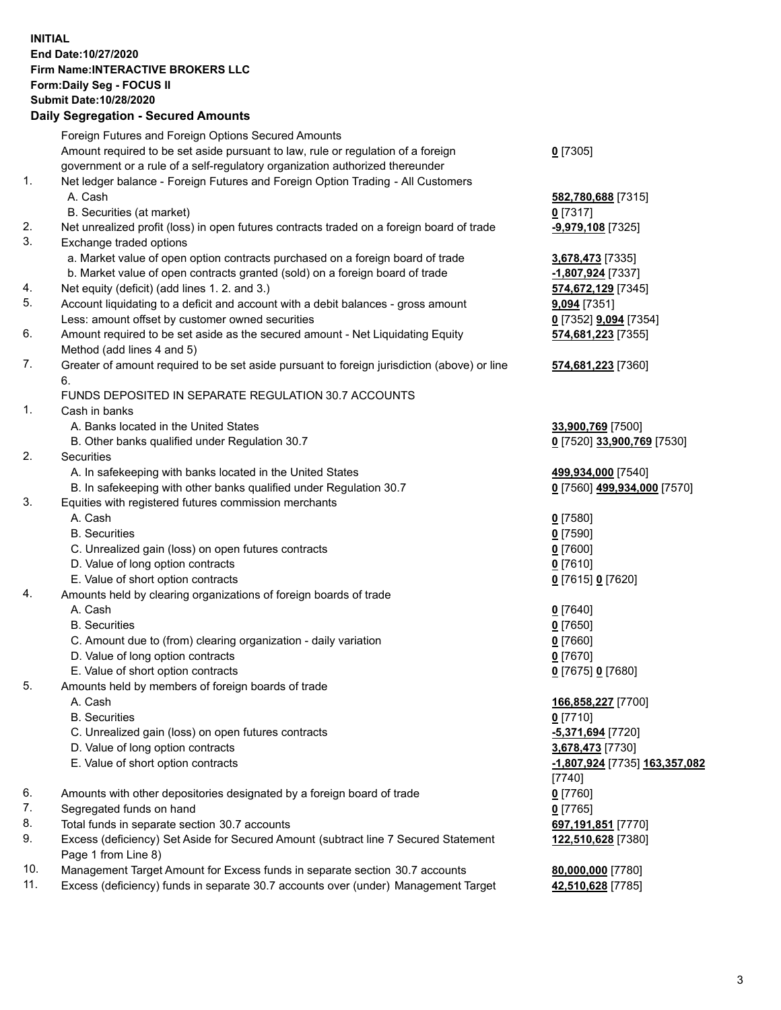**INITIAL End Date:10/27/2020 Firm Name:INTERACTIVE BROKERS LLC Form:Daily Seg - FOCUS II Submit Date:10/28/2020 Daily Segregation - Secured Amounts**

## Foreign Futures and Foreign Options Secured Amounts Amount required to be set aside pursuant to law, rule or regulation of a foreign government or a rule of a self-regulatory organization authorized thereunder **0** [7305] 1. Net ledger balance - Foreign Futures and Foreign Option Trading - All Customers A. Cash **582,780,688** [7315] B. Securities (at market) **0** [7317] 2. Net unrealized profit (loss) in open futures contracts traded on a foreign board of trade **-9,979,108** [7325] 3. Exchange traded options a. Market value of open option contracts purchased on a foreign board of trade **3,678,473** [7335] b. Market value of open contracts granted (sold) on a foreign board of trade **-1,807,924** [7337] 4. Net equity (deficit) (add lines 1. 2. and 3.) **574,672,129** [7345] 5. Account liquidating to a deficit and account with a debit balances - gross amount **9,094** [7351] Less: amount offset by customer owned securities **0** [7352] **9,094** [7354] 6. Amount required to be set aside as the secured amount - Net Liquidating Equity Method (add lines 4 and 5) **574,681,223** [7355] 7. Greater of amount required to be set aside pursuant to foreign jurisdiction (above) or line 6. **574,681,223** [7360] FUNDS DEPOSITED IN SEPARATE REGULATION 30.7 ACCOUNTS 1. Cash in banks A. Banks located in the United States **33,900,769** [7500] B. Other banks qualified under Regulation 30.7 **0** [7520] **33,900,769** [7530] 2. Securities A. In safekeeping with banks located in the United States **499,934,000** [7540] B. In safekeeping with other banks qualified under Regulation 30.7 **0** [7560] **499,934,000** [7570] 3. Equities with registered futures commission merchants A. Cash **0** [7580] B. Securities **0** [7590] C. Unrealized gain (loss) on open futures contracts **0** [7600] D. Value of long option contracts **0** [7610] E. Value of short option contracts **0** [7615] **0** [7620] 4. Amounts held by clearing organizations of foreign boards of trade A. Cash **0** [7640] B. Securities **0** [7650] C. Amount due to (from) clearing organization - daily variation **0** [7660] D. Value of long option contracts **0** [7670] E. Value of short option contracts **0** [7675] **0** [7680] 5. Amounts held by members of foreign boards of trade A. Cash **166,858,227** [7700] B. Securities **0** [7710] C. Unrealized gain (loss) on open futures contracts **-5,371,694** [7720] D. Value of long option contracts **3,678,473** [7730] E. Value of short option contracts **-1,807,924** [7735] **163,357,082** [7740] 6. Amounts with other depositories designated by a foreign board of trade **0** [7760] 7. Segregated funds on hand **0** [7765] 8. Total funds in separate section 30.7 accounts **697,191,851** [7770] 9. Excess (deficiency) Set Aside for Secured Amount (subtract line 7 Secured Statement Page 1 from Line 8) **122,510,628** [7380] 10. Management Target Amount for Excess funds in separate section 30.7 accounts **80,000,000** [7780] 11. Excess (deficiency) funds in separate 30.7 accounts over (under) Management Target **42,510,628** [7785]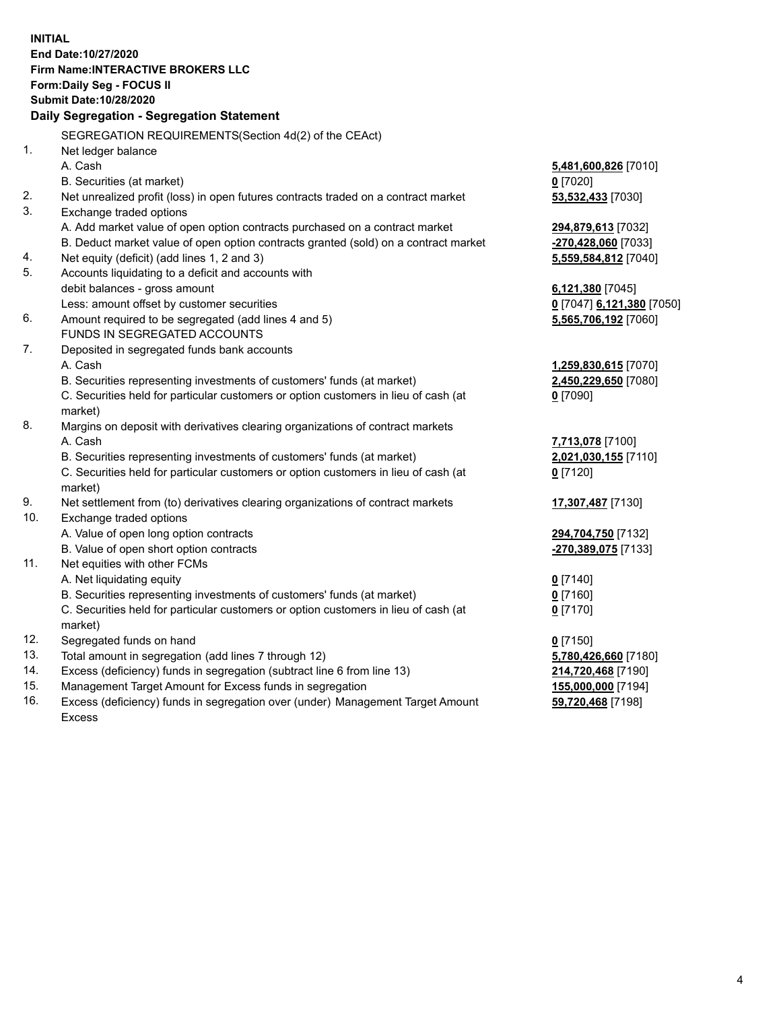**INITIAL End Date:10/27/2020 Firm Name:INTERACTIVE BROKERS LLC Form:Daily Seg - FOCUS II Submit Date:10/28/2020 Daily Segregation - Segregation Statement** SEGREGATION REQUIREMENTS(Section 4d(2) of the CEAct) 1. Net ledger balance A. Cash **5,481,600,826** [7010] B. Securities (at market) **0** [7020] 2. Net unrealized profit (loss) in open futures contracts traded on a contract market **53,532,433** [7030] 3. Exchange traded options A. Add market value of open option contracts purchased on a contract market **294,879,613** [7032] B. Deduct market value of open option contracts granted (sold) on a contract market **-270,428,060** [7033] 4. Net equity (deficit) (add lines 1, 2 and 3) **5,559,584,812** [7040] 5. Accounts liquidating to a deficit and accounts with debit balances - gross amount **6,121,380** [7045] Less: amount offset by customer securities **0** [7047] **6,121,380** [7050] 6. Amount required to be segregated (add lines 4 and 5) **5,565,706,192** [7060] FUNDS IN SEGREGATED ACCOUNTS 7. Deposited in segregated funds bank accounts A. Cash **1,259,830,615** [7070] B. Securities representing investments of customers' funds (at market) **2,450,229,650** [7080] C. Securities held for particular customers or option customers in lieu of cash (at market) **0** [7090] 8. Margins on deposit with derivatives clearing organizations of contract markets A. Cash **7,713,078** [7100] B. Securities representing investments of customers' funds (at market) **2,021,030,155** [7110] C. Securities held for particular customers or option customers in lieu of cash (at market) **0** [7120] 9. Net settlement from (to) derivatives clearing organizations of contract markets **17,307,487** [7130] 10. Exchange traded options A. Value of open long option contracts **294,704,750** [7132] B. Value of open short option contracts **-270,389,075** [7133] 11. Net equities with other FCMs A. Net liquidating equity **0** [7140] B. Securities representing investments of customers' funds (at market) **0** [7160] C. Securities held for particular customers or option customers in lieu of cash (at market) **0** [7170] 12. Segregated funds on hand **0** [7150] 13. Total amount in segregation (add lines 7 through 12) **5,780,426,660** [7180] 14. Excess (deficiency) funds in segregation (subtract line 6 from line 13) **214,720,468** [7190] 15. Management Target Amount for Excess funds in segregation **155,000,000** [7194] **59,720,468** [7198]

16. Excess (deficiency) funds in segregation over (under) Management Target Amount Excess